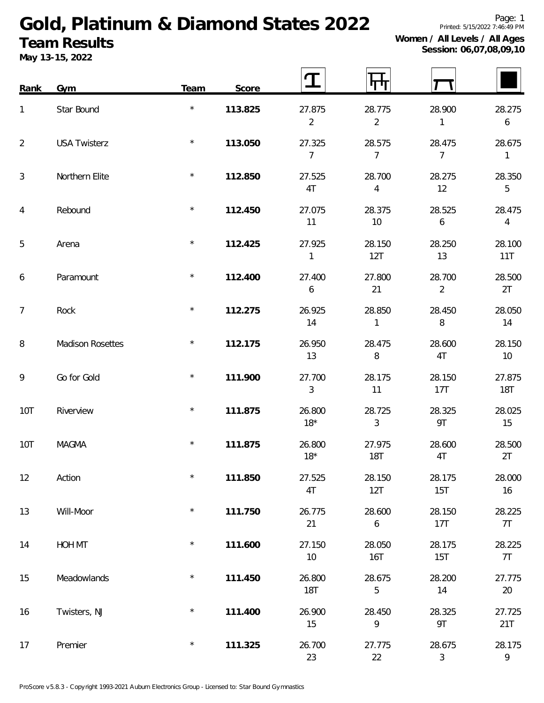## **Gold, Platinum & Diamond States 2022 Team Results**

**May 13-15, 2022**

**Session: 06,07,08,09,10**

| Rank           | Gym                     | Team    | Score   |                            |                            |                          |                            |
|----------------|-------------------------|---------|---------|----------------------------|----------------------------|--------------------------|----------------------------|
| $\mathbf{1}$   | Star Bound              | $\star$ | 113.825 | 27.875<br>$\overline{2}$   | 28.775<br>$\overline{2}$   | 28.900<br>$\mathbf{1}$   | 28.275<br>$\boldsymbol{6}$ |
| 2              | <b>USA Twisterz</b>     | $\star$ | 113.050 | 27.325<br>$\overline{7}$   | 28.575<br>$\overline{7}$   | 28.475<br>$\overline{7}$ | 28.675<br>$\mathbf{1}$     |
| $\mathfrak{Z}$ | Northern Elite          | $\star$ | 112.850 | 27.525<br>4T               | 28.700<br>$\overline{4}$   | 28.275<br>12             | 28.350<br>5                |
| $\overline{4}$ | Rebound                 | $\star$ | 112.450 | 27.075<br>11               | 28.375<br>10               | 28.525<br>6              | 28.475<br>$\overline{4}$   |
| 5              | Arena                   | $\star$ | 112.425 | 27.925<br>$\mathbf{1}$     | 28.150<br>12T              | 28.250<br>13             | 28.100<br>11T              |
| 6              | Paramount               | $\star$ | 112.400 | 27.400<br>$\boldsymbol{6}$ | 27.800<br>21               | 28.700<br>$\overline{2}$ | 28.500<br>2T               |
| $\overline{7}$ | Rock                    | $\star$ | 112.275 | 26.925<br>14               | 28.850<br>$\mathbf{1}$     | 28.450<br>8              | 28.050<br>14               |
| 8              | <b>Madison Rosettes</b> | $\star$ | 112.175 | 26.950<br>13               | 28.475<br>8                | 28.600<br>4T             | 28.150<br>10               |
| 9              | Go for Gold             | $\star$ | 111.900 | 27.700<br>$\mathfrak{Z}$   | 28.175<br>11               | 28.150<br>17T            | 27.875<br><b>18T</b>       |
| 10T            | Riverview               | $\star$ | 111.875 | 26.800<br>$18*$            | 28.725<br>3                | 28.325<br>9T             | 28.025<br>15               |
| 10T            | <b>MAGMA</b>            | $\star$ | 111.875 | 26.800<br>$18*$            | 27.975<br><b>18T</b>       | 28.600<br>4T             | 28.500<br>2T               |
| 12             | Action                  | $\star$ | 111.850 | 27.525<br>4T               | 28.150<br>12T              | 28.175<br>15T            | 28.000<br>16               |
| 13             | Will-Moor               | $\star$ | 111.750 | 26.775<br>21               | 28.600<br>$\boldsymbol{6}$ | 28.150<br>17T            | 28.225<br>7T               |
| 14             | HOH MT                  | $\star$ | 111.600 | 27.150<br>$10$             | 28.050<br><b>16T</b>       | 28.175<br>15T            | 28.225<br>7T               |
| 15             | Meadowlands             | $\star$ | 111.450 | 26.800<br><b>18T</b>       | 28.675<br>5                | 28.200<br>14             | 27.775<br>20               |
| 16             | Twisters, NJ            | $\star$ | 111.400 | 26.900<br>15               | 28.450<br>$\mathsf q$      | 28.325<br>9T             | 27.725<br>21T              |
| 17             | Premier                 | $\star$ | 111.325 | 26.700<br>23               | 27.775<br>22               | 28.675<br>$\sqrt{3}$     | 28.175<br>$\overline{9}$   |